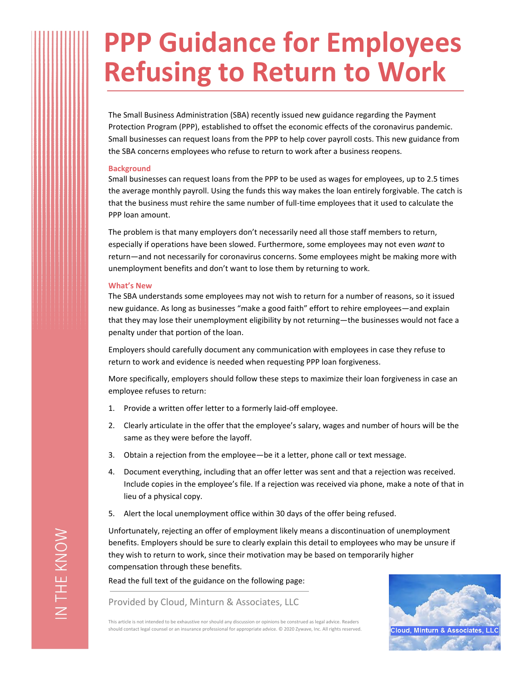## **PPP Guidance for Employees Refusing to Return to Work**

The Small Business Administration (SBA) recently issued new guidance regarding the Payment Protection Program (PPP), established to offset the economic effects of the coronavirus pandemic. Small businesses can request loans from the PPP to help cover payroll costs. This new guidance from the SBA concerns employees who refuse to return to work after a business reopens.

## **Background**

Small businesses can request loans from the PPP to be used as wages for employees, up to 2.5 times the average monthly payroll. Using the funds this way makes the loan entirely forgivable. The catch is that the business must rehire the same number of full-time employees that it used to calculate the PPP loan amount.

The problem is that many employers don't necessarily need all those staff members to return, especially if operations have been slowed. Furthermore, some employees may not even *want* to return—and not necessarily for coronavirus concerns. Some employees might be making more with unemployment benefits and don't want to lose them by returning to work.

## **What's New**

The SBA understands some employees may not wish to return for a number of reasons, so it issued new guidance. As long as businesses "make a good faith" effort to rehire employees—and explain that they may lose their unemployment eligibility by not returning—the businesses would not face a penalty under that portion of the loan.

Employers should carefully document any communication with employees in case they refuse to return to work and evidence is needed when requesting PPP loan forgiveness.

More specifically, employers should follow these steps to maximize their loan forgiveness in case an employee refuses to return:

- 1. Provide a written offer letter to a formerly laid-off employee.
- 2. Clearly articulate in the offer that the employee's salary, wages and number of hours will be the same as they were before the layoff.
- 3. Obtain a rejection from the employee—be it a letter, phone call or text message.
- 4. Document everything, including that an offer letter was sent and that a rejection was received. Include copies in the employee's file. If a rejection was received via phone, make a note of that in lieu of a physical copy.
- 5. Alert the local unemployment office within 30 days of the offer being refused.

Unfortunately, rejecting an offer of employment likely means a discontinuation of unemployment benefits. Employers should be sure to clearly explain this detail to employees who may be unsure if they wish to return to work, since their motivation may be based on temporarily higher compensation through these benefits.

Read the full text of the guidance on the following page:

Provided by Cloud, Minturn & Associates, LLC



This article is not intended to be exhaustive nor should any discussion or opinions be construed as legal advice. Readers should contact legal counsel or an insurance professional for appropriate advice. © 2020 Zywave, Inc. All rights reserved.